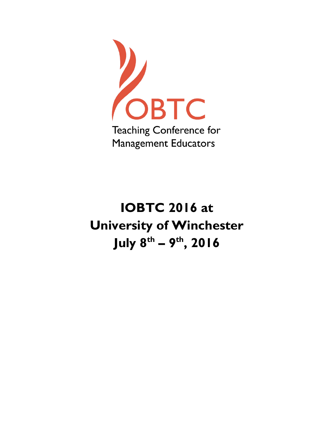

# **IOBTC 2016 at University of Winchester July 8 th – 9 th, 2016**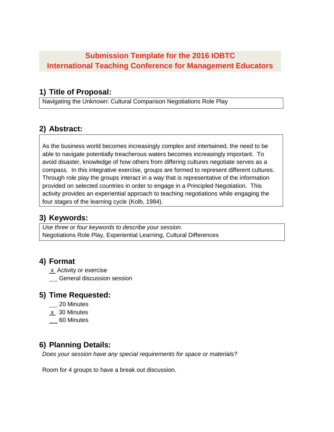# **Submission Template for the 2016 IOBTC International Teaching Conference for Management Educators**

### **1) Title of Proposal:**

Navigating the Unknown: Cultural Comparison Negotiations Role Play

# **2) Abstract:**

As the business world becomes increasingly complex and intertwined, the need to be able to navigate potentially treacherous waters becomes increasingly important. To avoid disaster, knowledge of how others from differing cultures negotiate serves as a compass. In this integrative exercise, groups are formed to represent different cultures. Through role play the groups interact in a way that is representative of the information provided on selected countries in order to engage in a Principled Negotiation. This activity provides an experiential approach to teaching negotiations while engaging the four stages of the learning cycle (Kolb, 1984).

## **3) Keywords:**

*Use three or four keywords to describe your session.* Negotiations Role Play, Experiential Learning, Cultural Differences

### **4) Format**

x Activity or exercise

**CENTED** General discussion session

### **5) Time Requested:**

- 20 Minutes
- $x$  30 Minutes
- 60 Minutes

# **6) Planning Details:**

*Does your session have any special requirements for space or materials?*

Room for 4 groups to have a break out discussion.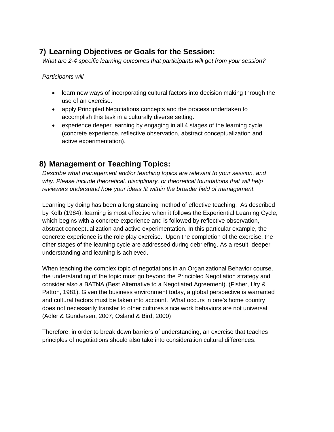# **7) Learning Objectives or Goals for the Session:**

*What are 2-4 specific learning outcomes that participants will get from your session?* 

*Participants will*

- learn new ways of incorporating cultural factors into decision making through the use of an exercise.
- apply Principled Negotiations concepts and the process undertaken to accomplish this task in a culturally diverse setting.
- experience deeper learning by engaging in all 4 stages of the learning cycle (concrete experience, reflective observation, abstract conceptualization and active experimentation).

## **8) Management or Teaching Topics:**

*Describe what management and/or teaching topics are relevant to your session, and why. Please include theoretical, disciplinary, or theoretical foundations that will help reviewers understand how your ideas fit within the broader field of management.*

Learning by doing has been a long standing method of effective teaching. As described by Kolb (1984), learning is most effective when it follows the Experiential Learning Cycle, which begins with a concrete experience and is followed by reflective observation, abstract conceptualization and active experimentation. In this particular example, the concrete experience is the role play exercise. Upon the completion of the exercise, the other stages of the learning cycle are addressed during debriefing. As a result, deeper understanding and learning is achieved.

When teaching the complex topic of negotiations in an Organizational Behavior course, the understanding of the topic must go beyond the Principled Negotiation strategy and consider also a BATNA (Best Alternative to a Negotiated Agreement). (Fisher, Ury & Patton, 1981). Given the business environment today, a global perspective is warranted and cultural factors must be taken into account. What occurs in one's home country does not necessarily transfer to other cultures since work behaviors are not universal. (Adler & Gundersen, 2007; Osland & Bird, 2000)

Therefore, in order to break down barriers of understanding, an exercise that teaches principles of negotiations should also take into consideration cultural differences.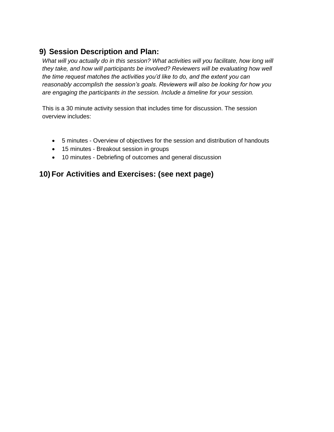## **9) Session Description and Plan:**

*What will you actually do in this session? What activities will you facilitate, how long will they take, and how will participants be involved? Reviewers will be evaluating how well the time request matches the activities you'd like to do, and the extent you can reasonably accomplish the session's goals. Reviewers will also be looking for how you are engaging the participants in the session. Include a timeline for your session.*

This is a 30 minute activity session that includes time for discussion. The session overview includes:

- 5 minutes Overview of objectives for the session and distribution of handouts
- 15 minutes Breakout session in groups
- 10 minutes Debriefing of outcomes and general discussion

### **10) For Activities and Exercises: (see next page)**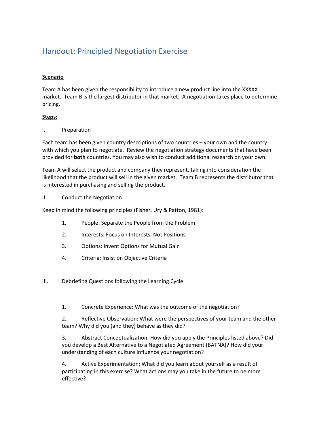# Handout: Principled Negotiation Exercise

#### **Scenario**

Team A has been given the responsibility to introduce a new product line into the XXXXX market. Team B is the largest distributor in that market. A negotiation takes place to determine pricing.

#### **Steps:**

#### I. Preparation

Each team has been given country descriptions of two countries – your own and the country with which you plan to negotiate. Review the negotiation strategy documents that have been provided for **both** countries. You may also wish to conduct additional research on your own.

Team A will select the product and company they represent, taking into consideration the likelihood that the product will sell in the given market. Team B represents the distributor that is interested in purchasing and selling the product.

#### II. Conduct the Negotiation

Keep in mind the following principles (Fisher, Ury & Patton, 1981):

- 1. People: Separate the People from the Problem
- 2. Interests: Focus on Interests, Not Positions
- 3. Options: Invent Options for Mutual Gain
- 4. Criteria: Insist on Objective Criteria
- III. Debriefing Questions following the Learning Cycle
	- 1. Concrete Experience: What was the outcome of the negotiation?
	- 2. Reflective Observation: What were the perspectives of your team and the other team? Why did you (and they) behave as they did?

3. Abstract Conceptualization: How did you apply the Principles listed above? Did you develop a Best Alternative to a Negotiated Agreement (BATNA)? How did your understanding of each culture influence your negotiation?

4. Active Experimentation: What did you learn about yourself as a result of participating in this exercise? What actions may you take in the future to be more effective?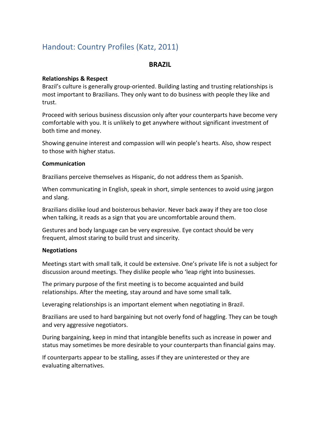# Handout: Country Profiles (Katz, 2011)

#### **BRAZIL**

#### **Relationships & Respect**

 Brazil's culture is generally group-oriented. Building lasting and trusting relationships is most important to Brazilians. They only want to do business with people they like and trust.

 Proceed with serious business discussion only after your counterparts have become very comfortable with you. It is unlikely to get anywhere without significant investment of both time and money.

 Showing genuine interest and compassion will win people's hearts. Also, show respect to those with higher status.

#### **Communication**

Brazilians perceive themselves as Hispanic, do not address them as Spanish.

 When communicating in English, speak in short, simple sentences to avoid using jargon and slang.

 Brazilians dislike loud and boisterous behavior. Never back away if they are too close when talking, it reads as a sign that you are uncomfortable around them.

 Gestures and body language can be very expressive. Eye contact should be very frequent, almost staring to build trust and sincerity.

#### **Negotiations**

 Meetings start with small talk, it could be extensive. One's private life is not a subject for discussion around meetings. They dislike people who 'leap right into businesses.

 The primary purpose of the first meeting is to become acquainted and build relationships. After the meeting, stay around and have some small talk.

Leveraging relationships is an important element when negotiating in Brazil.

 Brazilians are used to hard bargaining but not overly fond of haggling. They can be tough and very aggressive negotiators.

 During bargaining, keep in mind that intangible benefits such as increase in power and status may sometimes be more desirable to your counterparts than financial gains may.

 If counterparts appear to be stalling, asses if they are uninterested or they are evaluating alternatives.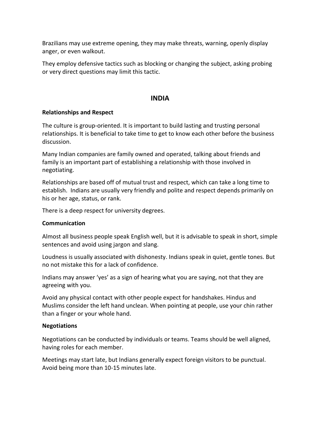Brazilians may use extreme opening, they may make threats, warning, openly display anger, or even walkout.

 They employ defensive tactics such as blocking or changing the subject, asking probing or very direct questions may limit this tactic.

#### **INDIA**

#### **Relationships and Respect**

 The culture is group-oriented. It is important to build lasting and trusting personal relationships. It is beneficial to take time to get to know each other before the business discussion.

 Many Indian companies are family owned and operated, talking about friends and family is an important part of establishing a relationship with those involved in negotiating.

 Relationships are based off of mutual trust and respect, which can take a long time to establish. Indians are usually very friendly and polite and respect depends primarily on his or her age, status, or rank.

There is a deep respect for university degrees.

#### **Communication**

 Almost all business people speak English well, but it is advisable to speak in short, simple sentences and avoid using jargon and slang.

 Loudness is usually associated with dishonesty. Indians speak in quiet, gentle tones. But no not mistake this for a lack of confidence.

 Indians may answer 'yes' as a sign of hearing what you are saying, not that they are agreeing with you.

 Avoid any physical contact with other people expect for handshakes. Hindus and Muslims consider the left hand unclean. When pointing at people, use your chin rather than a finger or your whole hand.

#### **Negotiations**

 Negotiations can be conducted by individuals or teams. Teams should be well aligned, having roles for each member.

 Meetings may start late, but Indians generally expect foreign visitors to be punctual. Avoid being more than 10-15 minutes late.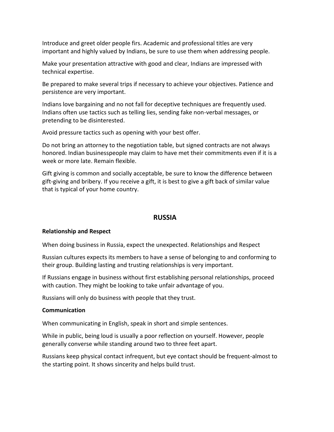Introduce and greet older people firs. Academic and professional titles are very important and highly valued by Indians, be sure to use them when addressing people.

 Make your presentation attractive with good and clear, Indians are impressed with technical expertise.

 Be prepared to make several trips if necessary to achieve your objectives. Patience and persistence are very important.

 Indians love bargaining and no not fall for deceptive techniques are frequently used. Indians often use tactics such as telling lies, sending fake non-verbal messages, or pretending to be disinterested.

Avoid pressure tactics such as opening with your best offer.

 Do not bring an attorney to the negotiation table, but signed contracts are not always honored. Indian businesspeople may claim to have met their commitments even if it is a week or more late. Remain flexible.

 Gift giving is common and socially acceptable, be sure to know the difference between gift-giving and bribery. If you receive a gift, it is best to give a gift back of similar value that is typical of your home country.

#### **RUSSIA**

#### **Relationship and Respect**

When doing business in Russia, expect the unexpected. Relationships and Respect

 Russian cultures expects its members to have a sense of belonging to and conforming to their group. Building lasting and trusting relationships is very important.

 If Russians engage in business without first establishing personal relationships, proceed with caution. They might be looking to take unfair advantage of you.

Russians will only do business with people that they trust.

#### **Communication**

When communicating in English, speak in short and simple sentences.

 While in public, being loud is usually a poor reflection on yourself. However, people generally converse while standing around two to three feet apart.

 Russians keep physical contact infrequent, but eye contact should be frequent-almost to the starting point. It shows sincerity and helps build trust.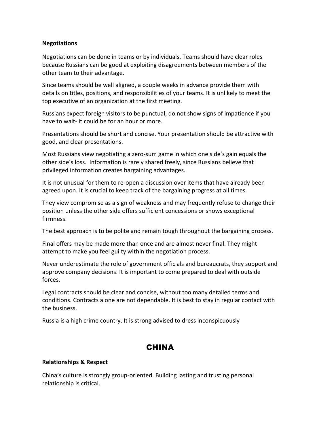#### **Negotiations**

 Negotiations can be done in teams or by individuals. Teams should have clear roles because Russians can be good at exploiting disagreements between members of the other team to their advantage.

 Since teams should be well aligned, a couple weeks in advance provide them with details on titles, positions, and responsibilities of your teams. It is unlikely to meet the top executive of an organization at the first meeting.

 Russians expect foreign visitors to be punctual, do not show signs of impatience if you have to wait- it could be for an hour or more.

 Presentations should be short and concise. Your presentation should be attractive with good, and clear presentations.

 Most Russians view negotiating a zero-sum game in which one side's gain equals the other side's loss. Information is rarely shared freely, since Russians believe that privileged information creates bargaining advantages.

 It is not unusual for them to re-open a discussion over items that have already been agreed upon. It is crucial to keep track of the bargaining progress at all times.

 They view compromise as a sign of weakness and may frequently refuse to change their position unless the other side offers sufficient concessions or shows exceptional firmness.

The best approach is to be polite and remain tough throughout the bargaining process.

 Final offers may be made more than once and are almost never final. They might attempt to make you feel guilty within the negotiation process.

 Never underestimate the role of government officials and bureaucrats, they support and approve company decisions. It is important to come prepared to deal with outside forces.

 Legal contracts should be clear and concise, without too many detailed terms and conditions. Contracts alone are not dependable. It is best to stay in regular contact with the business.

Russia is a high crime country. It is strong advised to dress inconspicuously

### **CHINA**

#### **Relationships & Respect**

 China's culture is strongly group-oriented. Building lasting and trusting personal relationship is critical.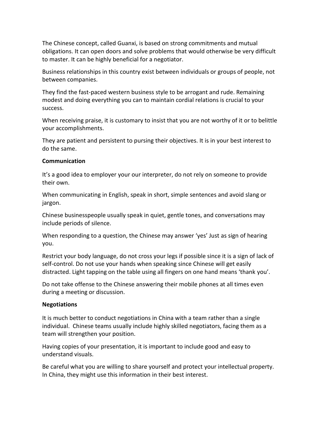The Chinese concept, called Guanxi, is based on strong commitments and mutual obligations. It can open doors and solve problems that would otherwise be very difficult to master. It can be highly beneficial for a negotiator.

 Business relationships in this country exist between individuals or groups of people, not between companies.

 They find the fast-paced western business style to be arrogant and rude. Remaining modest and doing everything you can to maintain cordial relations is crucial to your success.

 When receiving praise, it is customary to insist that you are not worthy of it or to belittle your accomplishments.

 They are patient and persistent to pursing their objectives. It is in your best interest to do the same.

#### **Communication**

 It's a good idea to employer your our interpreter, do not rely on someone to provide their own.

 When communicating in English, speak in short, simple sentences and avoid slang or jargon.

 Chinese businesspeople usually speak in quiet, gentle tones, and conversations may include periods of silence.

 When responding to a question, the Chinese may answer 'yes' Just as sign of hearing you.

 Restrict your body language, do not cross your legs if possible since it is a sign of lack of self-control. Do not use your hands when speaking since Chinese will get easily distracted. Light tapping on the table using all fingers on one hand means 'thank you'.

 Do not take offense to the Chinese answering their mobile phones at all times even during a meeting or discussion.

#### **Negotiations**

 It is much better to conduct negotiations in China with a team rather than a single individual. Chinese teams usually include highly skilled negotiators, facing them as a team will strengthen your position.

 Having copies of your presentation, it is important to include good and easy to understand visuals.

 Be careful what you are willing to share yourself and protect your intellectual property. In China, they might use this information in their best interest.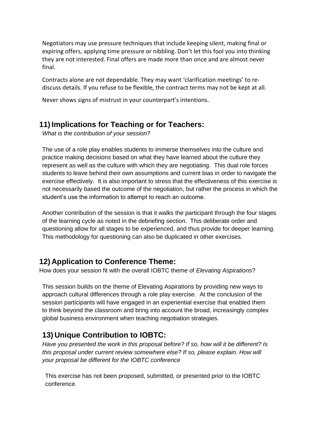Negotiators may use pressure techniques that include keeping silent, making final or expiring offers, applying time pressure or nibbling. Don't let this fool you into thinking they are not interested. Final offers are made more than once and are almost never final.

 Contracts alone are not dependable. They may want 'clarification meetings' to rediscuss details. If you refuse to be flexible, the contract terms may not be kept at all.

Never shows signs of mistrust in your counterpart's intentions.

### **11)Implications for Teaching or for Teachers:**

*What is the contribution of your session?* 

The use of a role play enables students to immerse themselves into the culture and practice making decisions based on what they have learned about the culture they represent as well as the culture with which they are negotiating. This dual role forces students to leave behind their own assumptions and current bias in order to navigate the exercise effectively. It is also important to stress that the effectiveness of this exercise is not necessarily based the outcome of the negotiation, but rather the process in which the student's use the information to attempt to reach an outcome.

Another contribution of the session is that it walks the participant through the four stages of the learning cycle as noted in the debriefing section. This deliberate order and questioning allow for all stages to be experienced, and thus provide for deeper learning. This methodology for questioning can also be duplicated in other exercises.

## **12) Application to Conference Theme:**

How does your session fit with the overall IOBTC theme of *Elevating Aspirations*?

This session builds on the theme of Elevating Aspirations by providing new ways to approach cultural differences through a role play exercise. At the conclusion of the session participants will have engaged in an experiential exercise that enabled them to think beyond the classroom and bring into account the broad, increasingly complex global business environment when teaching negotiation strategies.

# **13) Unique Contribution to IOBTC:**

*Have you presented the work in this proposal before? If so, how will it be different? Is this proposal under current review somewhere else? If so, please explain. How will your proposal be different for the IOBTC conference*

This exercise has not been proposed, submitted, or presented prior to the IOBTC conference.